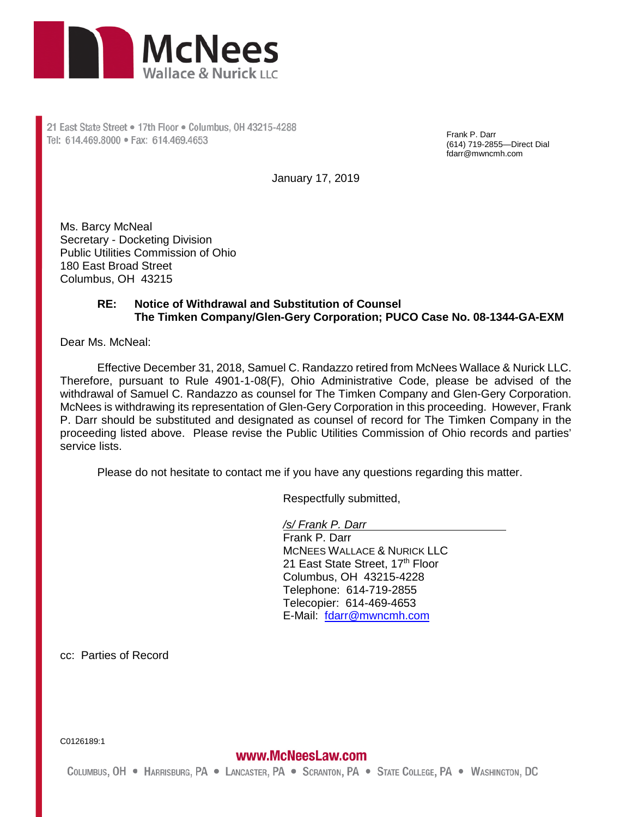

21 East State Street . 17th Floor . Columbus, 0H 43215-4288 Tel: 614.469.8000 · Fax: 614.469.4653

Frank P. Darr (614) 719-2855—Direct Dial fdarr@mwncmh.com

January 17, 2019

Ms. Barcy McNeal Secretary - Docketing Division Public Utilities Commission of Ohio 180 East Broad Street Columbus, OH 43215

## **RE: Notice of Withdrawal and Substitution of Counsel The Timken Company/Glen-Gery Corporation; PUCO Case No. 08-1344-GA-EXM**

Dear Ms. McNeal:

Effective December 31, 2018, Samuel C. Randazzo retired from McNees Wallace & Nurick LLC. Therefore, pursuant to Rule 4901-1-08(F), Ohio Administrative Code, please be advised of the withdrawal of Samuel C. Randazzo as counsel for The Timken Company and Glen-Gery Corporation. McNees is withdrawing its representation of Glen-Gery Corporation in this proceeding. However, Frank P. Darr should be substituted and designated as counsel of record for The Timken Company in the proceeding listed above. Please revise the Public Utilities Commission of Ohio records and parties' service lists.

Please do not hesitate to contact me if you have any questions regarding this matter.

Respectfully submitted,

*/s/ Frank P. Darr* 

Frank P. Darr MCNEES WALLACE & NURICK LLC 21 East State Street, 17th Floor Columbus, OH 43215-4228 Telephone: 614-719-2855 Telecopier: 614-469-4653 E-Mail: [fdarr@mwncmh.com](mailto:fdarr@mwncmh.com)

cc: Parties of Record

C0126189:1